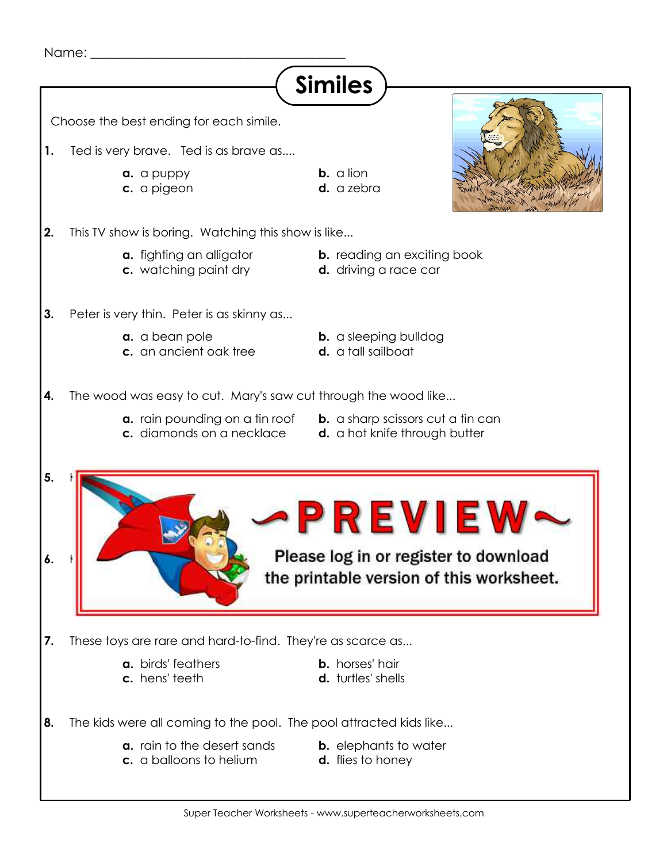